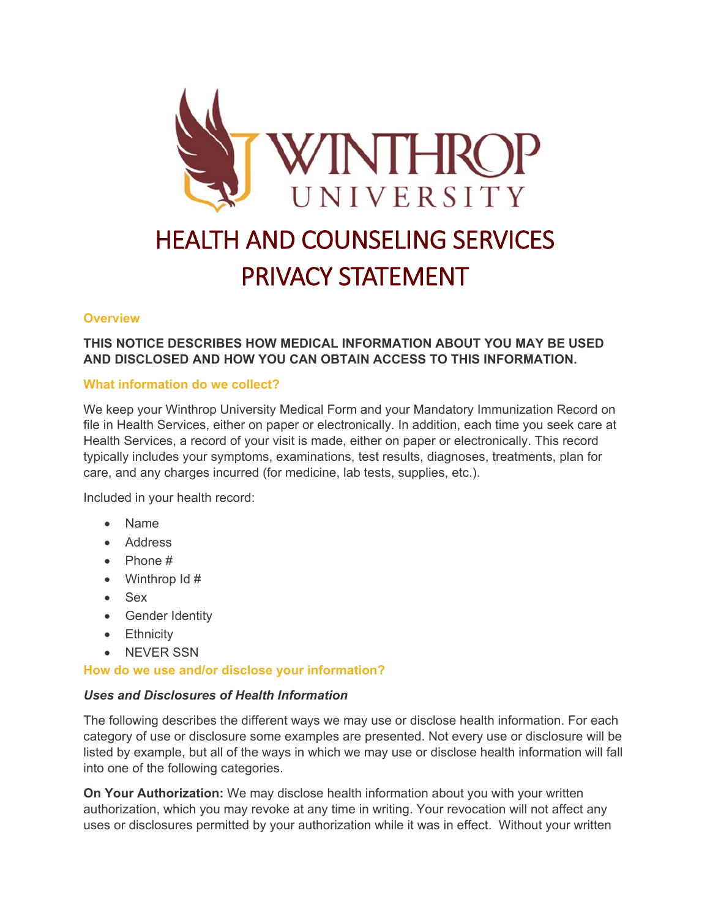

# HEALTH AND COUNSELING SERVICES PRIVACY STATEMENT

# **Overview**

# **THIS NOTICE DESCRIBES HOW MEDICAL INFORMATION ABOUT YOU MAY BE USED AND DISCLOSED AND HOW YOU CAN OBTAIN ACCESS TO THIS INFORMATION.**

# **What information do we collect?**

We keep your Winthrop University Medical Form and your Mandatory Immunization Record on file in Health Services, either on paper or electronically. In addition, each time you seek care at Health Services, a record of your visit is made, either on paper or electronically. This record typically includes your symptoms, examinations, test results, diagnoses, treatments, plan for care, and any charges incurred (for medicine, lab tests, supplies, etc.).

Included in your health record:

- Name
- Address
- Phone #
- Winthrop  $\text{Id} \#$
- Sex
- Gender Identity
- Ethnicity
- NEVER SSN

#### **How do we use and/or disclose your information?**

#### *Uses and Disclosures of Health Information*

The following describes the different ways we may use or disclose health information. For each category of use or disclosure some examples are presented. Not every use or disclosure will be listed by example, but all of the ways in which we may use or disclose health information will fall into one of the following categories.

**On Your Authorization:** We may disclose health information about you with your written authorization, which you may revoke at any time in writing. Your revocation will not affect any uses or disclosures permitted by your authorization while it was in effect. Without your written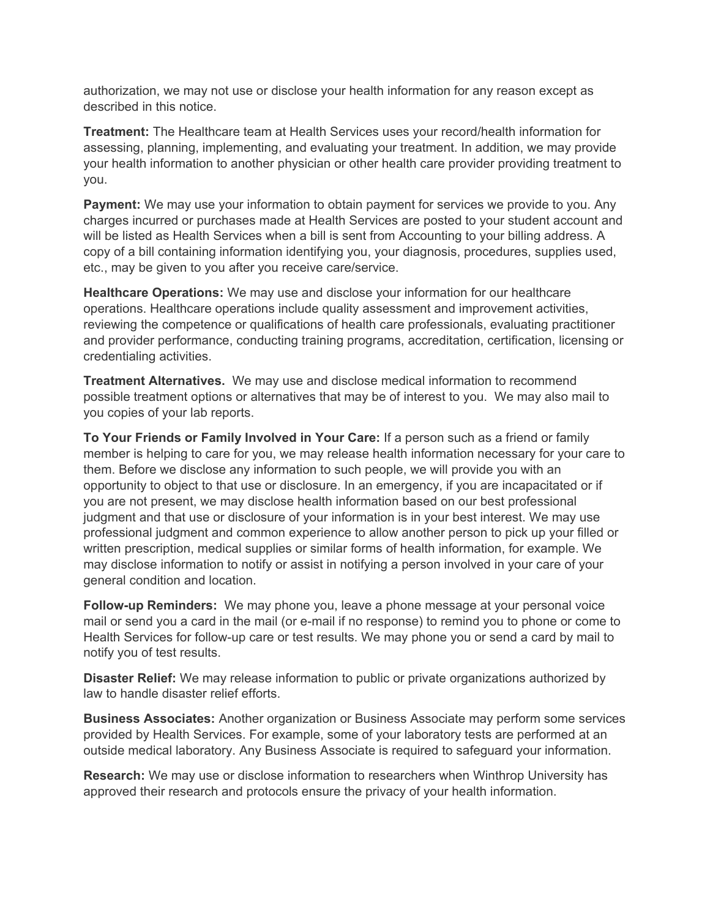authorization, we may not use or disclose your health information for any reason except as described in this notice.

**Treatment:** The Healthcare team at Health Services uses your record/health information for assessing, planning, implementing, and evaluating your treatment. In addition, we may provide your health information to another physician or other health care provider providing treatment to you.

**Payment:** We may use your information to obtain payment for services we provide to you. Any charges incurred or purchases made at Health Services are posted to your student account and will be listed as Health Services when a bill is sent from Accounting to your billing address. A copy of a bill containing information identifying you, your diagnosis, procedures, supplies used, etc., may be given to you after you receive care/service.

**Healthcare Operations:** We may use and disclose your information for our healthcare operations. Healthcare operations include quality assessment and improvement activities, reviewing the competence or qualifications of health care professionals, evaluating practitioner and provider performance, conducting training programs, accreditation, certification, licensing or credentialing activities.

**Treatment Alternatives.** We may use and disclose medical information to recommend possible treatment options or alternatives that may be of interest to you. We may also mail to you copies of your lab reports.

**To Your Friends or Family Involved in Your Care:** If a person such as a friend or family member is helping to care for you, we may release health information necessary for your care to them. Before we disclose any information to such people, we will provide you with an opportunity to object to that use or disclosure. In an emergency, if you are incapacitated or if you are not present, we may disclose health information based on our best professional judgment and that use or disclosure of your information is in your best interest. We may use professional judgment and common experience to allow another person to pick up your filled or written prescription, medical supplies or similar forms of health information, for example. We may disclose information to notify or assist in notifying a person involved in your care of your general condition and location.

**Follow-up Reminders:** We may phone you, leave a phone message at your personal voice mail or send you a card in the mail (or e-mail if no response) to remind you to phone or come to Health Services for follow-up care or test results. We may phone you or send a card by mail to notify you of test results.

**Disaster Relief:** We may release information to public or private organizations authorized by law to handle disaster relief efforts.

**Business Associates:** Another organization or Business Associate may perform some services provided by Health Services. For example, some of your laboratory tests are performed at an outside medical laboratory. Any Business Associate is required to safeguard your information.

**Research:** We may use or disclose information to researchers when Winthrop University has approved their research and protocols ensure the privacy of your health information.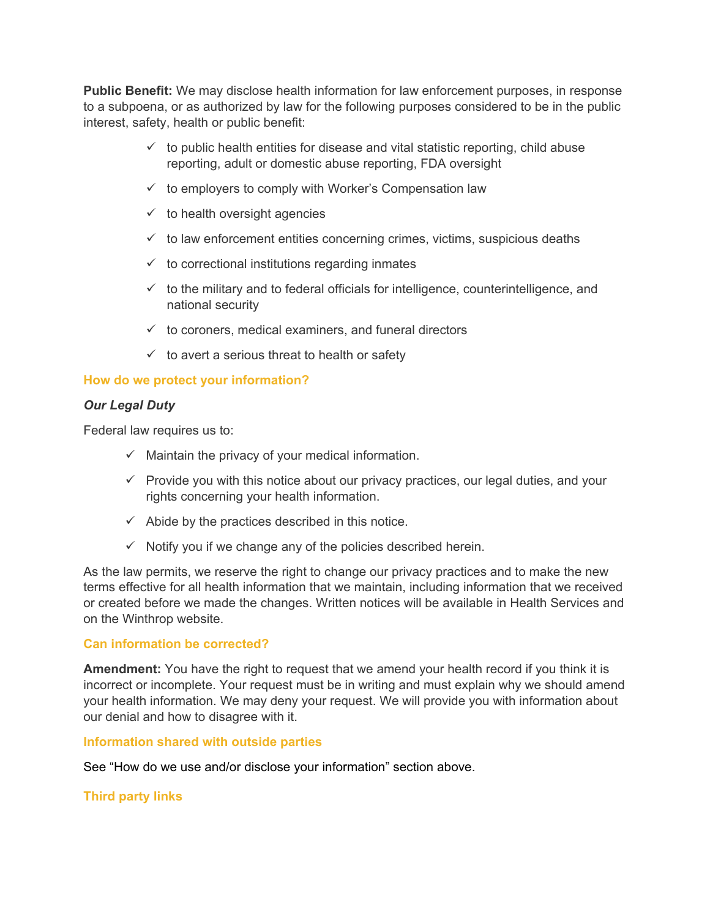**Public Benefit:** We may disclose health information for law enforcement purposes, in response to a subpoena, or as authorized by law for the following purposes considered to be in the public interest, safety, health or public benefit:

- $\checkmark$  to public health entities for disease and vital statistic reporting, child abuse reporting, adult or domestic abuse reporting, FDA oversight
- $\checkmark$  to employers to comply with Worker's Compensation law
- $\checkmark$  to health oversight agencies
- $\checkmark$  to law enforcement entities concerning crimes, victims, suspicious deaths
- $\checkmark$  to correctional institutions regarding inmates
- $\checkmark$  to the military and to federal officials for intelligence, counterintelligence, and national security
- $\checkmark$  to coroners, medical examiners, and funeral directors
- $\checkmark$  to avert a serious threat to health or safety

### **How do we protect your information?**

#### *Our Legal Duty*

Federal law requires us to:

- $\checkmark$  Maintain the privacy of your medical information.
- $\checkmark$  Provide you with this notice about our privacy practices, our legal duties, and your rights concerning your health information.
- $\checkmark$  Abide by the practices described in this notice.
- $\checkmark$  Notify you if we change any of the policies described herein.

As the law permits, we reserve the right to change our privacy practices and to make the new terms effective for all health information that we maintain, including information that we received or created before we made the changes. Written notices will be available in Health Services and on the Winthrop website.

#### **Can information be corrected?**

**Amendment:** You have the right to request that we amend your health record if you think it is incorrect or incomplete. Your request must be in writing and must explain why we should amend your health information. We may deny your request. We will provide you with information about our denial and how to disagree with it.

#### **Information shared with outside parties**

See "How do we use and/or disclose your information" section above.

#### **Third party links**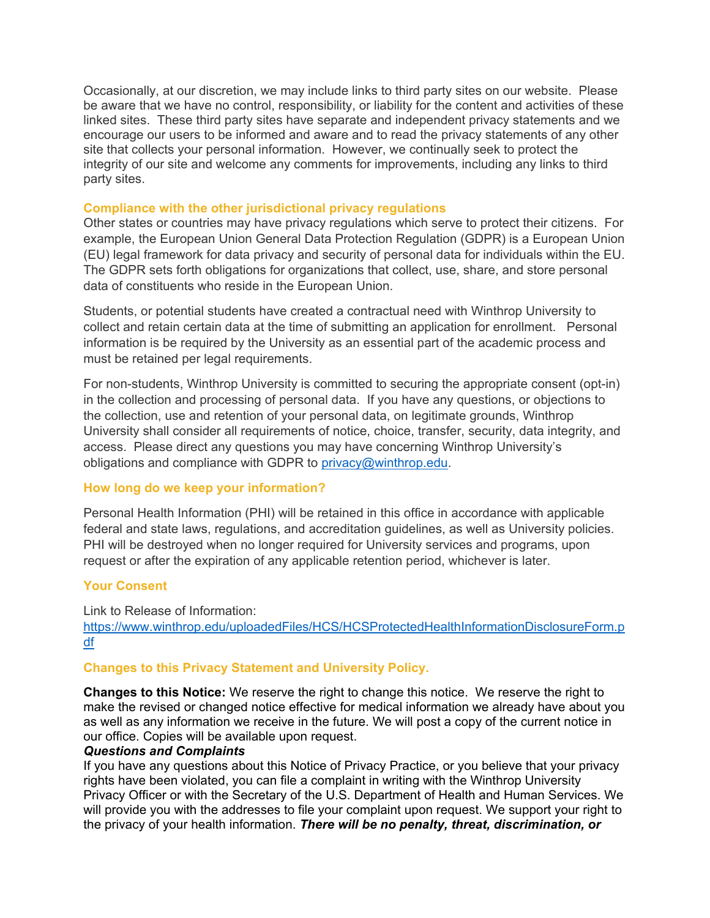Occasionally, at our discretion, we may include links to third party sites on our website. Please be aware that we have no control, responsibility, or liability for the content and activities of these linked sites. These third party sites have separate and independent privacy statements and we encourage our users to be informed and aware and to read the privacy statements of any other site that collects your personal information. However, we continually seek to protect the integrity of our site and welcome any comments for improvements, including any links to third party sites.

#### **Compliance with the other jurisdictional privacy regulations**

Other states or countries may have privacy regulations which serve to protect their citizens. For example, the European Union General Data Protection Regulation (GDPR) is a European Union (EU) legal framework for data privacy and security of personal data for individuals within the EU. The GDPR sets forth obligations for organizations that collect, use, share, and store personal data of constituents who reside in the European Union.

Students, or potential students have created a contractual need with Winthrop University to collect and retain certain data at the time of submitting an application for enrollment. Personal information is be required by the University as an essential part of the academic process and must be retained per legal requirements.

For non-students, Winthrop University is committed to securing the appropriate consent (opt-in) in the collection and processing of personal data. If you have any questions, or objections to the collection, use and retention of your personal data, on legitimate grounds, Winthrop University shall consider all requirements of notice, choice, transfer, security, data integrity, and access. Please direct any questions you may have concerning Winthrop University's obligations and compliance with GDPR to [privacy@winthrop.edu.](mailto:privacy@winthrop.edu)

#### **How long do we keep your information?**

Personal Health Information (PHI) will be retained in this office in accordance with applicable federal and state laws, regulations, and accreditation guidelines, as well as University policies. PHI will be destroyed when no longer required for University services and programs, upon request or after the expiration of any applicable retention period, whichever is later.

#### **Your Consent**

Link to Release of Information: [https://www.winthrop.edu/uploadedFiles/HCS/HCSProtectedHealthInformationDisclosureForm.p](https://www.winthrop.edu/uploadedFiles/HCS/HCSProtectedHealthInformationDisclosureForm.pdf) [df](https://www.winthrop.edu/uploadedFiles/HCS/HCSProtectedHealthInformationDisclosureForm.pdf)

#### **Changes to this Privacy Statement and University Policy.**

**Changes to this Notice:** We reserve the right to change this notice. We reserve the right to make the revised or changed notice effective for medical information we already have about you as well as any information we receive in the future. We will post a copy of the current notice in our office. Copies will be available upon request.

#### *Questions and Complaints*

If you have any questions about this Notice of Privacy Practice, or you believe that your privacy rights have been violated, you can file a complaint in writing with the Winthrop University Privacy Officer or with the Secretary of the U.S. Department of Health and Human Services. We will provide you with the addresses to file your complaint upon request. We support your right to the privacy of your health information. *There will be no penalty, threat, discrimination, or*